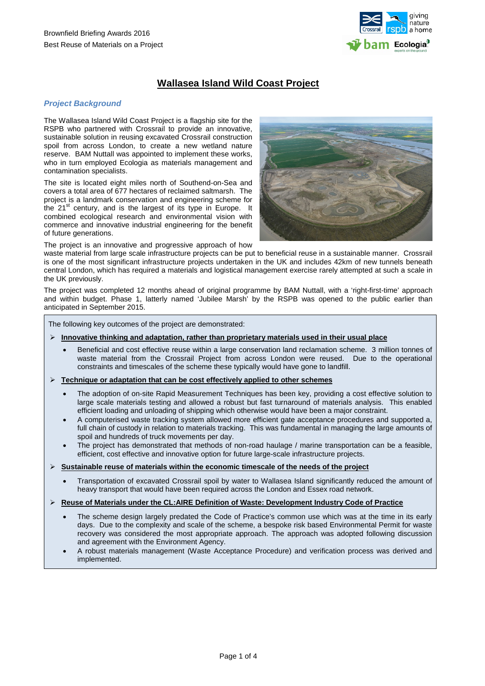

# **Wallasea Island Wild Coast Project**

# *Project Background*

The Wallasea Island Wild Coast Project is a flagship site for the RSPB who partnered with Crossrail to provide an innovative, sustainable solution in reusing excavated Crossrail construction spoil from across London, to create a new wetland nature reserve. BAM Nuttall was appointed to implement these works, who in turn employed Ecologia as materials management and contamination specialists.

The site is located eight miles north of Southend-on-Sea and covers a total area of 677 hectares of reclaimed saltmarsh. The project is a landmark conservation and engineering scheme for the  $21<sup>st</sup>$  century, and is the largest of its type in Europe. It combined ecological research and environmental vision with commerce and innovative industrial engineering for the benefit of future generations.

The project is an innovative and progressive approach of how

waste material from large scale infrastructure projects can be put to beneficial reuse in a sustainable manner. Crossrail is one of the most significant infrastructure projects undertaken in the UK and includes 42km of new tunnels beneath central London, which has required a materials and logistical management exercise rarely attempted at such a scale in the UK previously.

The project was completed 12 months ahead of original programme by BAM Nuttall, with a 'right-first-time' approach and within budget. Phase 1, latterly named 'Jubilee Marsh' by the RSPB was opened to the public earlier than anticipated in September 2015.

The following key outcomes of the project are demonstrated:

- **Innovative thinking and adaptation, rather than proprietary materials used in their usual place**
	- Beneficial and cost effective reuse within a large conservation land reclamation scheme. 3 million tonnes of waste material from the Crossrail Project from across London were reused. Due to the operational constraints and timescales of the scheme these typically would have gone to landfill.
- **Technique or adaptation that can be cost effectively applied to other schemes**
	- The adoption of on-site Rapid Measurement Techniques has been key, providing a cost effective solution to large scale materials testing and allowed a robust but fast turnaround of materials analysis. This enabled efficient loading and unloading of shipping which otherwise would have been a major constraint.
	- A computerised waste tracking system allowed more efficient gate acceptance procedures and supported a, full chain of custody in relation to materials tracking. This was fundamental in managing the large amounts of spoil and hundreds of truck movements per day.
	- The project has demonstrated that methods of non-road haulage / marine transportation can be a feasible, efficient, cost effective and innovative option for future large-scale infrastructure projects.
- **Sustainable reuse of materials within the economic timescale of the needs of the project**
	- Transportation of excavated Crossrail spoil by water to Wallasea Island significantly reduced the amount of heavy transport that would have been required across the London and Essex road network.
- **Reuse of Materials under the CL:AIRE Definition of Waste: Development Industry Code of Practice**
	- The scheme design largely predated the Code of Practice's common use which was at the time in its early days. Due to the complexity and scale of the scheme, a bespoke risk based Environmental Permit for waste recovery was considered the most appropriate approach. The approach was adopted following discussion and agreement with the Environment Agency.
	- A robust materials management (Waste Acceptance Procedure) and verification process was derived and implemented.

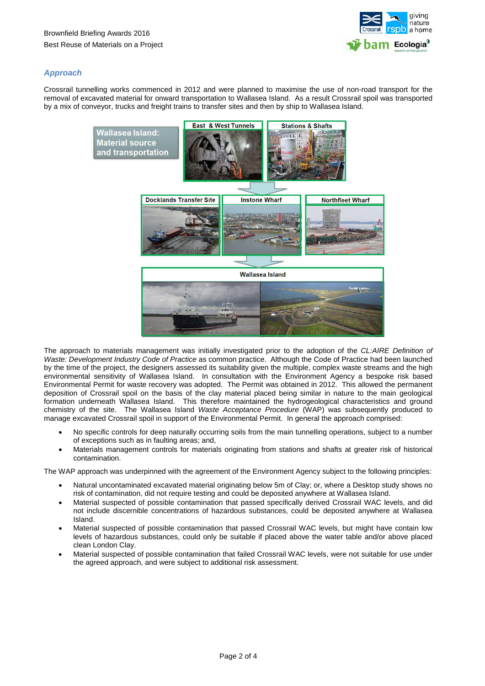

# *Approach*

Crossrail tunnelling works commenced in 2012 and were planned to maximise the use of non-road transport for the removal of excavated material for onward transportation to Wallasea Island. As a result Crossrail spoil was transported by a mix of conveyor, trucks and freight trains to transfer sites and then by ship to Wallasea Island.



The approach to materials management was initially investigated prior to the adoption of the *CL:AIRE Definition of Waste: Development Industry Code of Practice* as common practice. Although the Code of Practice had been launched by the time of the project, the designers assessed its suitability given the multiple, complex waste streams and the high environmental sensitivity of Wallasea Island. In consultation with the Environment Agency a bespoke risk based Environmental Permit for waste recovery was adopted. The Permit was obtained in 2012. This allowed the permanent deposition of Crossrail spoil on the basis of the clay material placed being similar in nature to the main geological formation underneath Wallasea Island. This therefore maintained the hydrogeological characteristics and ground chemistry of the site. The Wallasea Island *Waste Acceptance Procedure* (WAP) was subsequently produced to manage excavated Crossrail spoil in support of the Environmental Permit. In general the approach comprised:

- No specific controls for deep naturally occurring soils from the main tunnelling operations, subject to a number of exceptions such as in faulting areas; and,
- Materials management controls for materials originating from stations and shafts at greater risk of historical contamination.

The WAP approach was underpinned with the agreement of the Environment Agency subject to the following principles:

- Natural uncontaminated excavated material originating below 5m of Clay; or, where a Desktop study shows no risk of contamination, did not require testing and could be deposited anywhere at Wallasea Island.
- Material suspected of possible contamination that passed specifically derived Crossrail WAC levels, and did not include discernible concentrations of hazardous substances, could be deposited anywhere at Wallasea Island.
- Material suspected of possible contamination that passed Crossrail WAC levels, but might have contain low levels of hazardous substances, could only be suitable if placed above the water table and/or above placed clean London Clay.
- Material suspected of possible contamination that failed Crossrail WAC levels, were not suitable for use under the agreed approach, and were subject to additional risk assessment.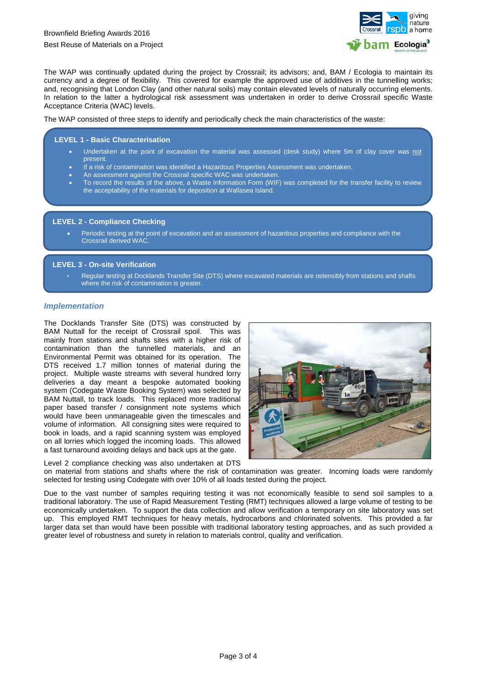

The WAP was continually updated during the project by Crossrail; its advisors; and, BAM / Ecologia to maintain its currency and a degree of flexibility. This covered for example the approved use of additives in the tunnelling works; and, recognising that London Clay (and other natural soils) may contain elevated levels of naturally occurring elements. In relation to the latter a hydrological risk assessment was undertaken in order to derive Crossrail specific Waste Acceptance Criteria (WAC) levels.

The WAP consisted of three steps to identify and periodically check the main characteristics of the waste:

### **LEVEL 1 - Basic Characterisation**

- Undertaken at the point of excavation the material was assessed (desk study) where 5m of clay cover was not **present**
- If a risk of contamination was identified a Hazardous Properties Assessment was undertaken.
- An assessment against the Crossrail specific WAC was undertaken.
- To record the results of the above, a Waste Information Form (WIF) was completed for the transfer facility to review the acceptability of the materials for deposition at Wallasea Island.

#### **LEVEL 2 - Compliance Checking**

• Periodic testing at the point of excavation and an assessment of hazardous properties and compliance with the Crossrail derived WAC.

### **LEVEL 3 - On-site Verification**

ł

• Regular testing at Docklands Transfer Site (DTS) where excavated materials are ostensibly from stations and shafts where the risk of contamination is greater.

### *Implementation*

The Docklands Transfer Site (DTS) was constructed by BAM Nuttall for the receipt of Crossrail spoil. This was mainly from stations and shafts sites with a higher risk of contamination than the tunnelled materials, and an Environmental Permit was obtained for its operation. The DTS received 1.7 million tonnes of material during the project. Multiple waste streams with several hundred lorry deliveries a day meant a bespoke automated booking system (Codegate Waste Booking System) was selected by BAM Nuttall, to track loads. This replaced more traditional paper based transfer / consignment note systems which would have been unmanageable given the timescales and volume of information. All consigning sites were required to book in loads, and a rapid scanning system was employed on all lorries which logged the incoming loads. This allowed a fast turnaround avoiding delays and back ups at the gate.

Level 2 compliance checking was also undertaken at DTS



on material from stations and shafts where the risk of contamination was greater. Incoming loads were randomly selected for testing using Codegate with over 10% of all loads tested during the project.

Due to the vast number of samples requiring testing it was not economically feasible to send soil samples to a traditional laboratory. The use of Rapid Measurement Testing (RMT) techniques allowed a large volume of testing to be economically undertaken. To support the data collection and allow verification a temporary on site laboratory was set up. This employed RMT techniques for heavy metals, hydrocarbons and chlorinated solvents. This provided a far larger data set than would have been possible with traditional laboratory testing approaches, and as such provided a greater level of robustness and surety in relation to materials control, quality and verification.